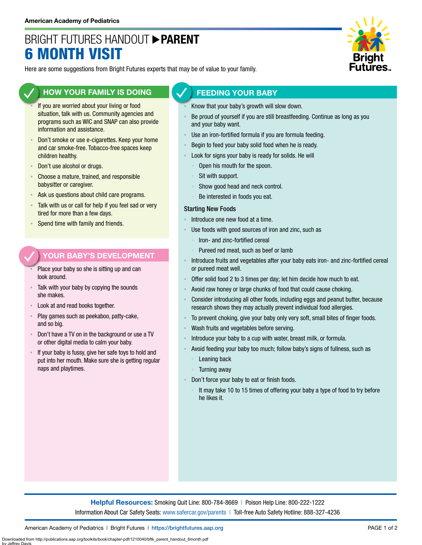# BRIGHT FUTURES HANDOUT **PARENT** 6 MONTH VISIT



Here are some suggestions from Bright Futures experts that may be of value to your family.

### **HOW YOUR FAMILY IS DOING**

- If you are worried about your living or food situation, talk with us. Community agencies and programs such as WIC and SNAP can also provide information and assistance.
- Don't smoke or use e-cigarettes. Keep your home and car smoke-free. Tobacco-free spaces keep children healthy.
- Don't use alcohol or drugs.
- **EXPLO** Choose a mature, trained, and responsible babysitter or caregiver.
- Ask us questions about child care programs.
- Talk with us or call for help if you feel sad or very tired for more than a few days.
- Spend time with family and friends.

#### **YOUR BABY'S DEVELOPMENT**

- Place your baby so she is sitting up and can look around.
- Talk with your baby by copying the sounds she makes.
- Look at and read books together.
- Play games such as peekaboo, patty-cake, and so big.
- Don't have a TV on in the background or use a TV or other digital media to calm your baby.
- If your baby is fussy, give her safe toys to hold and put into her mouth. Make sure she is getting regular naps and playtimes.

#### **FEEDING YOUR BABY**

- Know that your baby's growth will slow down.
- Be proud of yourself if you are still breastfeeding. Continue as long as you and your baby want.
- Use an iron-fortified formula if you are formula feeding.
- Begin to feed your baby solid food when he is ready.
- Look for signs your baby is ready for solids. He will
	- Open his mouth for the spoon.
	- Sit with support.
	- Show good head and neck control.
	- Be interested in foods you eat.

#### Starting New Foods

- Introduce one new food at a time.
- Use foods with good sources of iron and zinc, such as
	- Iron- and zinc-fortified cereal
	- Pureed red meat, such as beef or lamb
- Introduce fruits and vegetables after your baby eats iron- and zinc-fortified cereal or pureed meat well.
- Offer solid food 2 to 3 times per day; let him decide how much to eat.
- Avoid raw honey or large chunks of food that could cause choking.
- Consider introducing all other foods, including eggs and peanut butter, because research shows they may actually prevent individual food allergies.
- To prevent choking, give your baby only very soft, small bites of finger foods.
- Wash fruits and vegetables before serving.
- Introduce your baby to a cup with water, breast milk, or formula.
- Avoid feeding your baby too much; follow baby's signs of fullness, such as Leaning back
	- Turning away
- Don't force your baby to eat or finish foods.
	- It may take 10 to 15 times of offering your baby a type of food to try before he likes it.